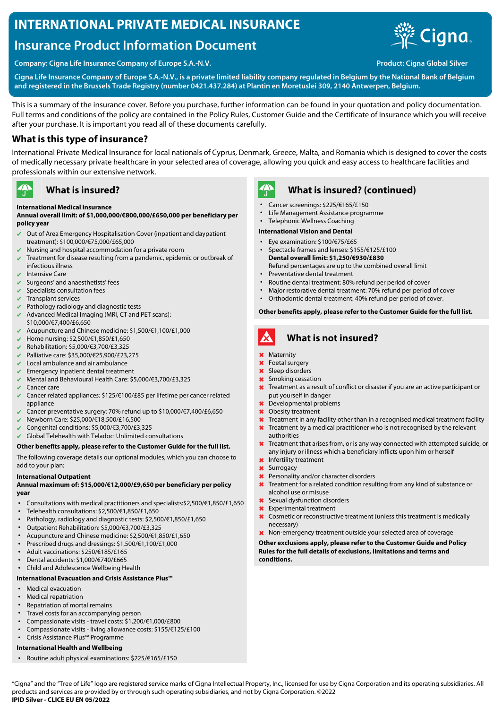# **INTERNATIONAL PRIVATE MEDICAL INSURANCE**

# **Insurance Product Information Document**



**Company: Cigna Life Insurance Company of Europe S.A.-N.V. Product: Cigna Global Silver**

**Cigna Life Insurance Company of Europe S.A.-N.V., is a private limited liability company regulated in Belgium by the National Bank of Belgium and registered in the Brussels Trade Registry (number 0421.437.284) at Plantin en Moretuslei 309, 2140 Antwerpen, Belgium.**

This is a summary of the insurance cover. Before you purchase, further information can be found in your quotation and policy documentation. Full terms and conditions of the policy are contained in the Policy Rules, Customer Guide and the Certificate of Insurance which you will receive after your purchase. It is important you read all of these documents carefully.

### **What is this type of insurance?**

International Private Medical Insurance for local nationals of Cyprus, Denmark, Greece, Malta, and Romania which is designed to cover the costs of medically necessary private healthcare in your selected area of coverage, allowing you quick and easy access to healthcare facilities and professionals within our extensive network.

#### $\mathbf{A}$ **What is insured?**

#### **International Medical Insurance**

#### **Annual overall limit: of \$1,000,000/€800,000/£650,000 per beneficiary per policy year**

- ✔ Out of Area Emergency Hospitalisation Cover (inpatient and daypatient treatment): \$100,000/€75,000/£65,000
- Nursing and hospital accommodation for a private room
- ✔ Treatment for disease resulting from a pandemic, epidemic or outbreak of infectious illness
- Intensive Care
- $\vee$  Surgeons' and anaesthetists' fees
- Specialists consultation fees
- $\triangleright$  Transplant services
- $\vee$  Pathology radiology and diagnostic tests
- $\blacktriangleright$  Advanced Medical Imaging (MRI, CT and PET scans): \$10,000/€7,400/£6,650
- ✔ Acupuncture and Chinese medicine: \$1,500/€1,100/£1,000
- ✔ Home nursing: \$2,500/€1,850/£1,650
- ✔ Rehabilitation: \$5,000/€3,700/£3,325
- ✔ Palliative care: \$35,000/€25,900/£23,275
- Local ambulance and air ambulance
- $\blacktriangleright$  Emergency inpatient dental treatment
- ✔ Mental and Behavioural Health Care: \$5,000/€3,700/£3,325
- Cancer care
- ✔ Cancer related appliances: \$125/€100/£85 per lifetime per cancer related appliance
- Cancer preventative surgery: 70% refund up to \$10,000/€7,400/£6,650
- ✔ Newborn Care: \$25,000/€18,500/£16,500
- ✔ Congenital conditions: \$5,000/€3,700/£3,325
- $\vee$  Global Telehealth with Teladoc: Unlimited consultations

### **Other benefits apply, please refer to the Customer Guide for the full list.**

The following coverage details our optional modules, which you can choose to add to your plan:

#### **International Outpatient**

#### **Annual maximum of: \$15,000/€12,000/£9,650 per beneficiary per policy year**

- Consultations with medical practitioners and specialists:\$2,500/€1,850/£1,650
- Telehealth consultations: \$2,500/€1,850/£1,650
- Pathology, radiology and diagnostic tests: \$2,500/€1,850/£1,650
- Outpatient Rehabilitation: \$5,000/€3,700/£3,325
- Acupuncture and Chinese medicine: \$2,500/€1,850/£1,650
- Prescribed drugs and dressings: \$1,500/€1,100/£1,000
- Adult vaccinations: \$250/€185/£165
- Dental accidents: \$1,000/€740/£665
- Child and Adolescence Wellbeing Health

#### **International Evacuation and Crisis Assistance Plus™**

- Medical evacuation
- Medical repatriation
- Repatriation of mortal remains
- Travel costs for an accompanying person
- Compassionate visits travel costs: \$1,200/€1,000/£800
- Compassionate visits living allowance costs: \$155/€125/£100 • Crisis Assistance Plus™ Programme

### **International Health and Wellbeing**

• Routine adult physical examinations: \$225/€165/£150



### **What is insured? (continued)**

- Cancer screenings: \$225/€165/£150
- Life Management Assistance programme
- Telephonic Wellness Coaching

#### **International Vision and Dental**

- Eye examination: \$100/€75/£65
- Spectacle frames and lenses: \$155/€125/£100 **Dental overall limit: \$1,250/€930/£830** Refund percentages are up to the combined overall limit
- Preventative dental treatment
- Routine dental treatment: 80% refund per period of cover
- Major restorative dental treatment: 70% refund per period of cover
- Orthodontic dental treatment: 40% refund per period of cover.

#### **Other benefits apply, please refer to the Customer Guide for the full list.**



### **What is not insured?**

- ✖ Maternity
- ✖ Foetal surgery
- ✖ Sleep disorders
- ✖ Smoking cessation
- **X** Treatment as a result of conflict or disaster if you are an active participant or put yourself in danger
- Developmental problems
- ✖ Obesity treatment
- **X** Treatment in any facility other than in a recognised medical treatment facility
- **X** Treatment by a medical practitioner who is not recognised by the relevant authorities
- **X** Treatment that arises from, or is any way connected with attempted suicide, or any injury or illness which a beneficiary inflicts upon him or herself
- ✖ Infertility treatment
- ✖ Surrogacy
- ✖ Personality and/or character disorders
- **X** Treatment for a related condition resulting from any kind of substance or alcohol use or misuse
- Sexual dysfunction disorders
- ✖ Experimental treatment
- **X** Cosmetic or reconstructive treatment (unless this treatment is medically necessary)
- ✖ Non-emergency treatment outside your selected area of coverage

**Other exclusions apply, please refer to the Customer Guide and Policy Rules for the full details of exclusions, limitations and terms and conditions.**

"Cigna" and the "Tree of Life" logo are registered service marks of Cigna Intellectual Property, Inc., licensed for use by Cigna Corporation and its operating subsidiaries. All products and services are provided by or through such operating subsidiaries, and not by Cigna Corporation. ©2022 **IPID Silver - CLICE EU EN 05/2022**